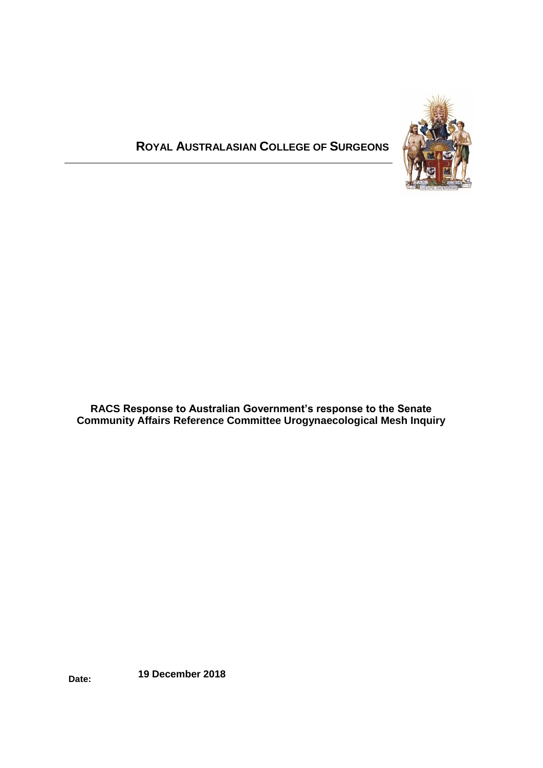# **ROYAL AUSTRALASIAN COLLEGE OF SURGEONS**



**RACS Response to Australian Government's response to the Senate Community Affairs Reference Committee Urogynaecological Mesh Inquiry**

**Date: 19 December 2018**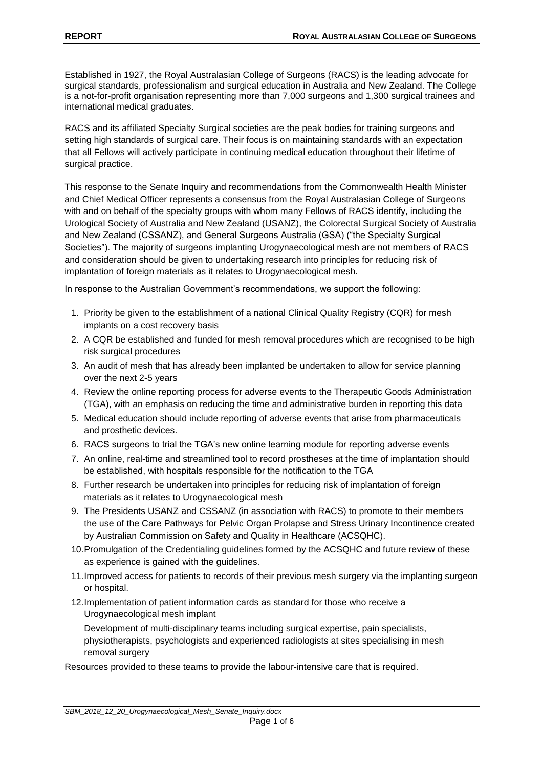Established in 1927, the Royal Australasian College of Surgeons (RACS) is the leading advocate for surgical standards, professionalism and surgical education in Australia and New Zealand. The College is a not-for-profit organisation representing more than 7,000 surgeons and 1,300 surgical trainees and international medical graduates.

RACS and its affiliated Specialty Surgical societies are the peak bodies for training surgeons and setting high standards of surgical care. Their focus is on maintaining standards with an expectation that all Fellows will actively participate in continuing medical education throughout their lifetime of surgical practice.

This response to the Senate Inquiry and recommendations from the Commonwealth Health Minister and Chief Medical Officer represents a consensus from the Royal Australasian College of Surgeons with and on behalf of the specialty groups with whom many Fellows of RACS identify, including the Urological Society of Australia and New Zealand (USANZ), the Colorectal Surgical Society of Australia and New Zealand (CSSANZ), and General Surgeons Australia (GSA) ("the Specialty Surgical Societies"). The majority of surgeons implanting Urogynaecological mesh are not members of RACS and consideration should be given to undertaking research into principles for reducing risk of implantation of foreign materials as it relates to Urogynaecological mesh.

In response to the Australian Government's recommendations, we support the following:

- 1. Priority be given to the establishment of a national Clinical Quality Registry (CQR) for mesh implants on a cost recovery basis
- 2. A CQR be established and funded for mesh removal procedures which are recognised to be high risk surgical procedures
- 3. An audit of mesh that has already been implanted be undertaken to allow for service planning over the next 2-5 years
- 4. Review the online reporting process for adverse events to the Therapeutic Goods Administration (TGA), with an emphasis on reducing the time and administrative burden in reporting this data
- 5. Medical education should include reporting of adverse events that arise from pharmaceuticals and prosthetic devices.
- 6. RACS surgeons to trial the TGA's new online learning module for reporting adverse events
- 7. An online, real-time and streamlined tool to record prostheses at the time of implantation should be established, with hospitals responsible for the notification to the TGA
- 8. Further research be undertaken into principles for reducing risk of implantation of foreign materials as it relates to Urogynaecological mesh
- 9. The Presidents USANZ and CSSANZ (in association with RACS) to promote to their members the use of the Care Pathways for Pelvic Organ Prolapse and Stress Urinary Incontinence created by Australian Commission on Safety and Quality in Healthcare (ACSQHC).
- 10.Promulgation of the Credentialing guidelines formed by the ACSQHC and future review of these as experience is gained with the guidelines.
- 11.Improved access for patients to records of their previous mesh surgery via the implanting surgeon or hospital.
- 12.Implementation of patient information cards as standard for those who receive a Urogynaecological mesh implant

Development of multi-disciplinary teams including surgical expertise, pain specialists, physiotherapists, psychologists and experienced radiologists at sites specialising in mesh removal surgery

Resources provided to these teams to provide the labour-intensive care that is required.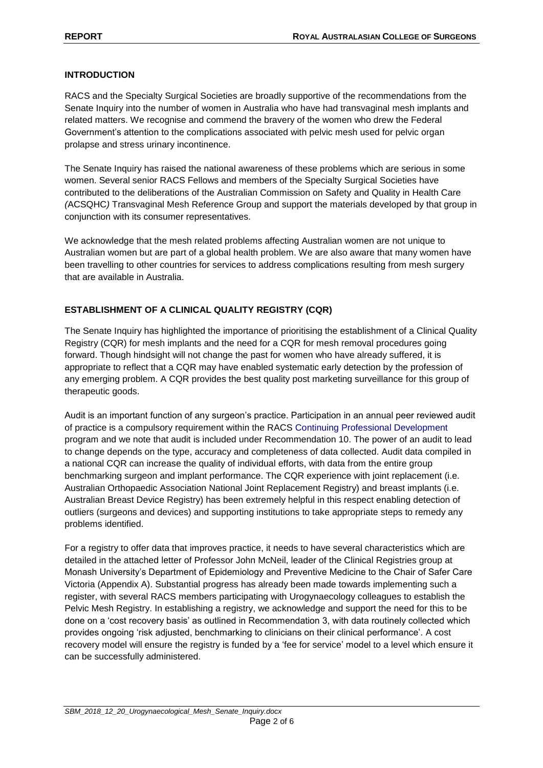#### **INTRODUCTION**

RACS and the Specialty Surgical Societies are broadly supportive of the recommendations from the Senate Inquiry into the number of women in Australia who have had transvaginal mesh implants and related matters. We recognise and commend the bravery of the women who drew the Federal Government's attention to the complications associated with pelvic mesh used for pelvic organ prolapse and stress urinary incontinence.

The Senate Inquiry has raised the national awareness of these problems which are serious in some women. Several senior RACS Fellows and members of the Specialty Surgical Societies have contributed to the deliberations of the Australian Commission on Safety and Quality in Health Care *(*ACSQHC*)* Transvaginal Mesh Reference Group and support the materials developed by that group in conjunction with its consumer representatives.

We acknowledge that the mesh related problems affecting Australian women are not unique to Australian women but are part of a global health problem. We are also aware that many women have been travelling to other countries for services to address complications resulting from mesh surgery that are available in Australia.

## **ESTABLISHMENT OF A CLINICAL QUALITY REGISTRY (CQR)**

The Senate Inquiry has highlighted the importance of prioritising the establishment of a Clinical Quality Registry (CQR) for mesh implants and the need for a CQR for mesh removal procedures going forward. Though hindsight will not change the past for women who have already suffered, it is appropriate to reflect that a CQR may have enabled systematic early detection by the profession of any emerging problem. A CQR provides the best quality post marketing surveillance for this group of therapeutic goods.

Audit is an important function of any surgeon's practice. Participation in an annual peer reviewed audit of practice is a compulsory requirement within the RACS Continuing Professional Development program and we note that audit is included under Recommendation 10. The power of an audit to lead to change depends on the type, accuracy and completeness of data collected. Audit data compiled in a national CQR can increase the quality of individual efforts, with data from the entire group benchmarking surgeon and implant performance. The CQR experience with joint replacement (i.e. Australian Orthopaedic Association National Joint Replacement Registry) and breast implants (i.e. Australian Breast Device Registry) has been extremely helpful in this respect enabling detection of outliers (surgeons and devices) and supporting institutions to take appropriate steps to remedy any problems identified.

For a registry to offer data that improves practice, it needs to have several characteristics which are detailed in the attached letter of Professor John McNeil, leader of the Clinical Registries group at Monash University's Department of Epidemiology and Preventive Medicine to the Chair of Safer Care Victoria (Appendix A). Substantial progress has already been made towards implementing such a register, with several RACS members participating with Urogynaecology colleagues to establish the Pelvic Mesh Registry. In establishing a registry, we acknowledge and support the need for this to be done on a 'cost recovery basis' as outlined in Recommendation 3, with data routinely collected which provides ongoing 'risk adjusted, benchmarking to clinicians on their clinical performance'. A cost recovery model will ensure the registry is funded by a 'fee for service' model to a level which ensure it can be successfully administered.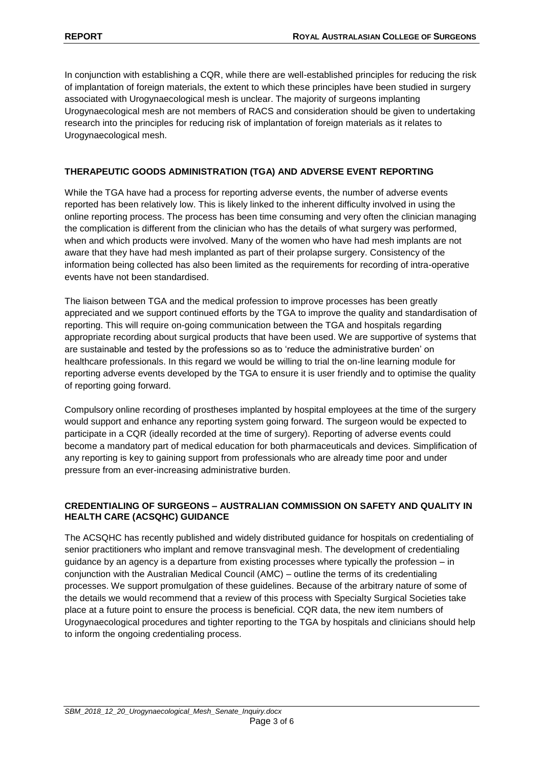In conjunction with establishing a CQR, while there are well-established principles for reducing the risk of implantation of foreign materials, the extent to which these principles have been studied in surgery associated with Urogynaecological mesh is unclear. The majority of surgeons implanting Urogynaecological mesh are not members of RACS and consideration should be given to undertaking research into the principles for reducing risk of implantation of foreign materials as it relates to Urogynaecological mesh.

## **THERAPEUTIC GOODS ADMINISTRATION (TGA) AND ADVERSE EVENT REPORTING**

While the TGA have had a process for reporting adverse events, the number of adverse events reported has been relatively low. This is likely linked to the inherent difficulty involved in using the online reporting process. The process has been time consuming and very often the clinician managing the complication is different from the clinician who has the details of what surgery was performed, when and which products were involved. Many of the women who have had mesh implants are not aware that they have had mesh implanted as part of their prolapse surgery. Consistency of the information being collected has also been limited as the requirements for recording of intra-operative events have not been standardised.

The liaison between TGA and the medical profession to improve processes has been greatly appreciated and we support continued efforts by the TGA to improve the quality and standardisation of reporting. This will require on-going communication between the TGA and hospitals regarding appropriate recording about surgical products that have been used. We are supportive of systems that are sustainable and tested by the professions so as to 'reduce the administrative burden' on healthcare professionals. In this regard we would be willing to trial the on-line learning module for reporting adverse events developed by the TGA to ensure it is user friendly and to optimise the quality of reporting going forward.

Compulsory online recording of prostheses implanted by hospital employees at the time of the surgery would support and enhance any reporting system going forward. The surgeon would be expected to participate in a CQR (ideally recorded at the time of surgery). Reporting of adverse events could become a mandatory part of medical education for both pharmaceuticals and devices. Simplification of any reporting is key to gaining support from professionals who are already time poor and under pressure from an ever-increasing administrative burden.

#### **CREDENTIALING OF SURGEONS – AUSTRALIAN COMMISSION ON SAFETY AND QUALITY IN HEALTH CARE (ACSQHC) GUIDANCE**

The ACSQHC has recently published and widely distributed guidance for hospitals on credentialing of senior practitioners who implant and remove transvaginal mesh. The development of credentialing guidance by an agency is a departure from existing processes where typically the profession – in conjunction with the Australian Medical Council (AMC) – outline the terms of its credentialing processes. We support promulgation of these guidelines. Because of the arbitrary nature of some of the details we would recommend that a review of this process with Specialty Surgical Societies take place at a future point to ensure the process is beneficial. CQR data, the new item numbers of Urogynaecological procedures and tighter reporting to the TGA by hospitals and clinicians should help to inform the ongoing credentialing process.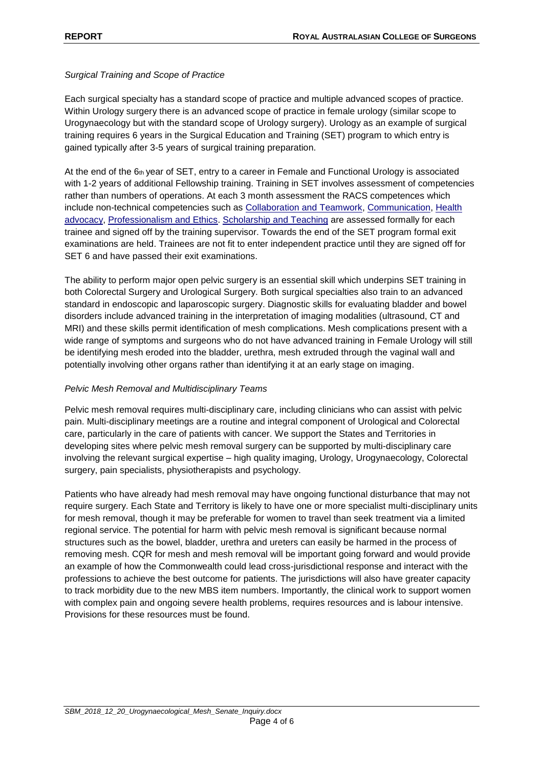#### *Surgical Training and Scope of Practice*

Each surgical specialty has a standard scope of practice and multiple advanced scopes of practice. Within Urology surgery there is an advanced scope of practice in female urology (similar scope to Urogynaecology but with the standard scope of Urology surgery). Urology as an example of surgical training requires 6 years in the Surgical Education and Training (SET) program to which entry is gained typically after 3-5 years of surgical training preparation.

At the end of the 6th year of SET, entry to a career in Female and Functional Urology is associated with 1-2 years of additional Fellowship training. Training in SET involves assessment of competencies rather than numbers of operations. At each 3 month assessment the RACS competences which include non-technical competencies such as [Collaboration and Teamwork,](https://www.surgeons.org/becoming-a-surgeon/surgical-education-training/competencies/#Collaboration) [Communication,](https://www.surgeons.org/becoming-a-surgeon/surgical-education-training/competencies/#Communication) Health [advocacy,](https://www.surgeons.org/becoming-a-surgeon/surgical-education-training/competencies/#Health advocacy) [Professionalism and Ethics.](https://www.surgeons.org/becoming-a-surgeon/surgical-education-training/competencies/#Professionalism) [Scholarship and Teaching](https://www.surgeons.org/becoming-a-surgeon/surgical-education-training/competencies/#Scholar and teacher) are assessed formally for each trainee and signed off by the training supervisor. Towards the end of the SET program formal exit examinations are held. Trainees are not fit to enter independent practice until they are signed off for SET 6 and have passed their exit examinations.

The ability to perform major open pelvic surgery is an essential skill which underpins SET training in both Colorectal Surgery and Urological Surgery. Both surgical specialties also train to an advanced standard in endoscopic and laparoscopic surgery. Diagnostic skills for evaluating bladder and bowel disorders include advanced training in the interpretation of imaging modalities (ultrasound, CT and MRI) and these skills permit identification of mesh complications. Mesh complications present with a wide range of symptoms and surgeons who do not have advanced training in Female Urology will still be identifying mesh eroded into the bladder, urethra, mesh extruded through the vaginal wall and potentially involving other organs rather than identifying it at an early stage on imaging.

#### *Pelvic Mesh Removal and Multidisciplinary Teams*

Pelvic mesh removal requires multi-disciplinary care, including clinicians who can assist with pelvic pain. Multi-disciplinary meetings are a routine and integral component of Urological and Colorectal care, particularly in the care of patients with cancer. We support the States and Territories in developing sites where pelvic mesh removal surgery can be supported by multi-disciplinary care involving the relevant surgical expertise – high quality imaging, Urology, Urogynaecology, Colorectal surgery, pain specialists, physiotherapists and psychology.

Patients who have already had mesh removal may have ongoing functional disturbance that may not require surgery. Each State and Territory is likely to have one or more specialist multi-disciplinary units for mesh removal, though it may be preferable for women to travel than seek treatment via a limited regional service. The potential for harm with pelvic mesh removal is significant because normal structures such as the bowel, bladder, urethra and ureters can easily be harmed in the process of removing mesh. CQR for mesh and mesh removal will be important going forward and would provide an example of how the Commonwealth could lead cross-jurisdictional response and interact with the professions to achieve the best outcome for patients. The jurisdictions will also have greater capacity to track morbidity due to the new MBS item numbers. Importantly, the clinical work to support women with complex pain and ongoing severe health problems, requires resources and is labour intensive. Provisions for these resources must be found.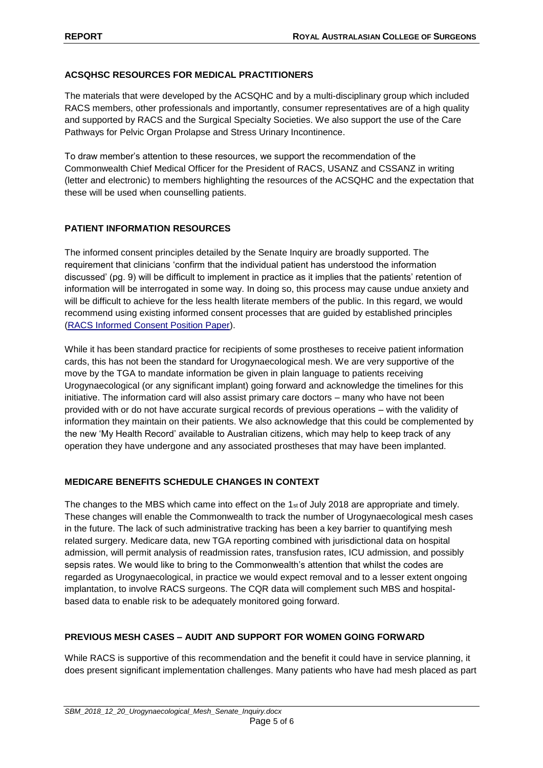#### **ACSQHSC RESOURCES FOR MEDICAL PRACTITIONERS**

The materials that were developed by the ACSQHC and by a multi-disciplinary group which included RACS members, other professionals and importantly, consumer representatives are of a high quality and supported by RACS and the Surgical Specialty Societies. We also support the use of the Care Pathways for Pelvic Organ Prolapse and Stress Urinary Incontinence.

To draw member's attention to these resources, we support the recommendation of the Commonwealth Chief Medical Officer for the President of RACS, USANZ and CSSANZ in writing (letter and electronic) to members highlighting the resources of the ACSQHC and the expectation that these will be used when counselling patients.

#### **PATIENT INFORMATION RESOURCES**

The informed consent principles detailed by the Senate Inquiry are broadly supported. The requirement that clinicians 'confirm that the individual patient has understood the information discussed' (pg. 9) will be difficult to implement in practice as it implies that the patients' retention of information will be interrogated in some way. In doing so, this process may cause undue anxiety and will be difficult to achieve for the less health literate members of the public. In this regard, we would recommend using existing informed consent processes that are guided by established principles [\(RACS Informed Consent Position Paper\)](https://www.surgeons.org/media/312206/2014-08-29_pos_fes-pst-042_informed_consent.pdf).

While it has been standard practice for recipients of some prostheses to receive patient information cards, this has not been the standard for Urogynaecological mesh. We are very supportive of the move by the TGA to mandate information be given in plain language to patients receiving Urogynaecological (or any significant implant) going forward and acknowledge the timelines for this initiative. The information card will also assist primary care doctors – many who have not been provided with or do not have accurate surgical records of previous operations – with the validity of information they maintain on their patients. We also acknowledge that this could be complemented by the new 'My Health Record' available to Australian citizens, which may help to keep track of any operation they have undergone and any associated prostheses that may have been implanted.

## **MEDICARE BENEFITS SCHEDULE CHANGES IN CONTEXT**

The changes to the MBS which came into effect on the 1<sup>st</sup> of July 2018 are appropriate and timely. These changes will enable the Commonwealth to track the number of Urogynaecological mesh cases in the future. The lack of such administrative tracking has been a key barrier to quantifying mesh related surgery. Medicare data, new TGA reporting combined with jurisdictional data on hospital admission, will permit analysis of readmission rates, transfusion rates, ICU admission, and possibly sepsis rates. We would like to bring to the Commonwealth's attention that whilst the codes are regarded as Urogynaecological, in practice we would expect removal and to a lesser extent ongoing implantation, to involve RACS surgeons. The CQR data will complement such MBS and hospitalbased data to enable risk to be adequately monitored going forward.

## **PREVIOUS MESH CASES – AUDIT AND SUPPORT FOR WOMEN GOING FORWARD**

While RACS is supportive of this recommendation and the benefit it could have in service planning, it does present significant implementation challenges. Many patients who have had mesh placed as part